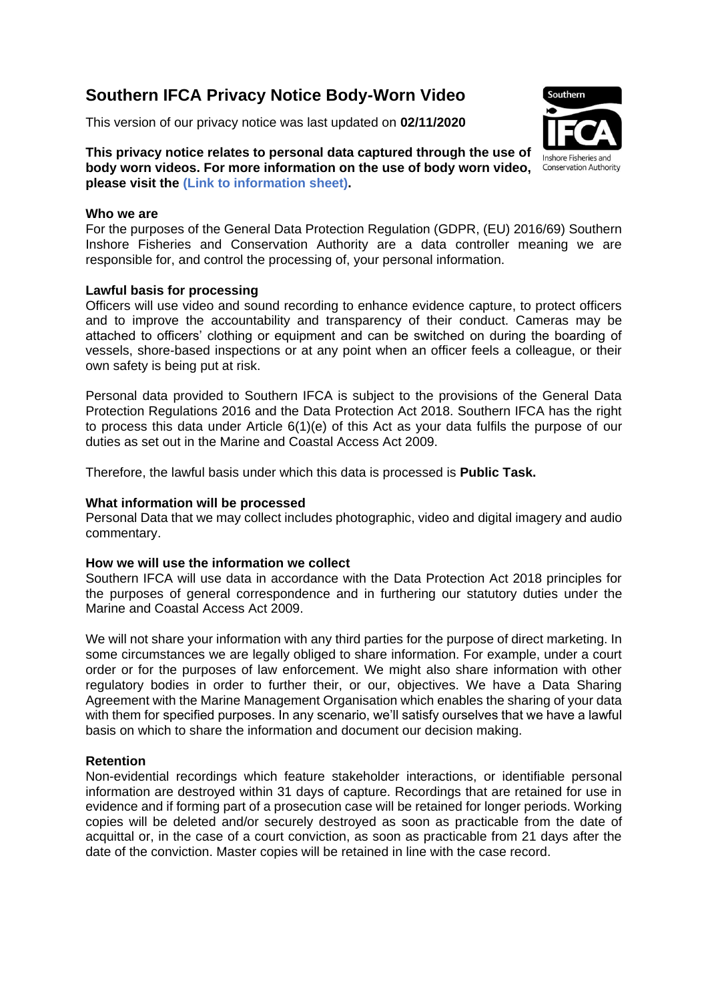# **Southern IFCA Privacy Notice Body-Worn Video**

This version of our privacy notice was last updated on **02/11/2020**



**This privacy notice relates to personal data captured through the use of body worn videos. For more information on the use of body worn video, please visit the (Link to information sheet).**

#### **Who we are**

For the purposes of the General Data Protection Regulation (GDPR, (EU) 2016/69) Southern Inshore Fisheries and Conservation Authority are a data controller meaning we are responsible for, and control the processing of, your personal information.

# **Lawful basis for processing**

Officers will use video and sound recording to enhance evidence capture, to protect officers and to improve the accountability and transparency of their conduct. Cameras may be attached to officers' clothing or equipment and can be switched on during the boarding of vessels, shore-based inspections or at any point when an officer feels a colleague, or their own safety is being put at risk.

Personal data provided to Southern IFCA is subject to the provisions of the General Data Protection Regulations 2016 and the Data Protection Act 2018. Southern IFCA has the right to process this data under Article 6(1)(e) of this Act as your data fulfils the purpose of our duties as set out in the Marine and Coastal Access Act 2009.

Therefore, the lawful basis under which this data is processed is **Public Task.**

#### **What information will be processed**

Personal Data that we may collect includes photographic, video and digital imagery and audio commentary.

# **How we will use the information we collect**

Southern IFCA will use data in accordance with the Data Protection Act 2018 principles for the purposes of general correspondence and in furthering our statutory duties under the Marine and Coastal Access Act 2009.

We will not share your information with any third parties for the purpose of direct marketing. In some circumstances we are legally obliged to share information. For example, under a court order or for the purposes of law enforcement. We might also share information with other regulatory bodies in order to further their, or our, objectives. We have a Data Sharing Agreement with the Marine Management Organisation which enables the sharing of your data with them for specified purposes. In any scenario, we'll satisfy ourselves that we have a lawful basis on which to share the information and document our decision making.

# **Retention**

Non-evidential recordings which feature stakeholder interactions, or identifiable personal information are destroyed within 31 days of capture. Recordings that are retained for use in evidence and if forming part of a prosecution case will be retained for longer periods. Working copies will be deleted and/or securely destroyed as soon as practicable from the date of acquittal or, in the case of a court conviction, as soon as practicable from 21 days after the date of the conviction. Master copies will be retained in line with the case record.